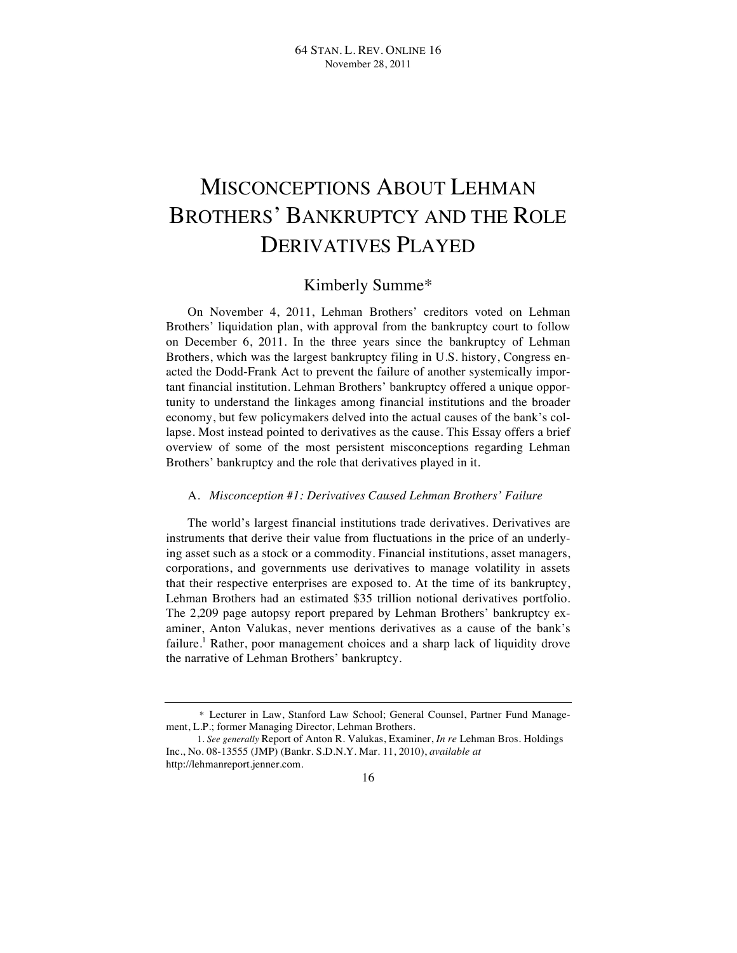# MISCONCEPTIONS ABOUT LEHMAN BROTHERS' BANKRUPTCY AND THE ROLE DERIVATIVES PLAYED

# Kimberly Summe\*

On November 4, 2011, Lehman Brothers' creditors voted on Lehman Brothers' liquidation plan, with approval from the bankruptcy court to follow on December 6, 2011. In the three years since the bankruptcy of Lehman Brothers, which was the largest bankruptcy filing in U.S. history, Congress enacted the Dodd-Frank Act to prevent the failure of another systemically important financial institution. Lehman Brothers' bankruptcy offered a unique opportunity to understand the linkages among financial institutions and the broader economy, but few policymakers delved into the actual causes of the bank's collapse. Most instead pointed to derivatives as the cause. This Essay offers a brief overview of some of the most persistent misconceptions regarding Lehman Brothers' bankruptcy and the role that derivatives played in it.

## A. *Misconception #1: Derivatives Caused Lehman Brothers' Failure*

The world's largest financial institutions trade derivatives. Derivatives are instruments that derive their value from fluctuations in the price of an underlying asset such as a stock or a commodity. Financial institutions, asset managers, corporations, and governments use derivatives to manage volatility in assets that their respective enterprises are exposed to. At the time of its bankruptcy, Lehman Brothers had an estimated \$35 trillion notional derivatives portfolio. The 2,209 page autopsy report prepared by Lehman Brothers' bankruptcy examiner, Anton Valukas, never mentions derivatives as a cause of the bank's failure.<sup>1</sup> Rather, poor management choices and a sharp lack of liquidity drove the narrative of Lehman Brothers' bankruptcy.

<sup>\*</sup> Lecturer in Law, Stanford Law School; General Counsel, Partner Fund Management, L.P.; former Managing Director, Lehman Brothers.

 <sup>1.</sup> *See generally* Report of Anton R. Valukas, Examiner, *In re* Lehman Bros. Holdings Inc., No. 08-13555 (JMP) (Bankr. S.D.N.Y. Mar. 11, 2010), *available at* http://lehmanreport.jenner.com.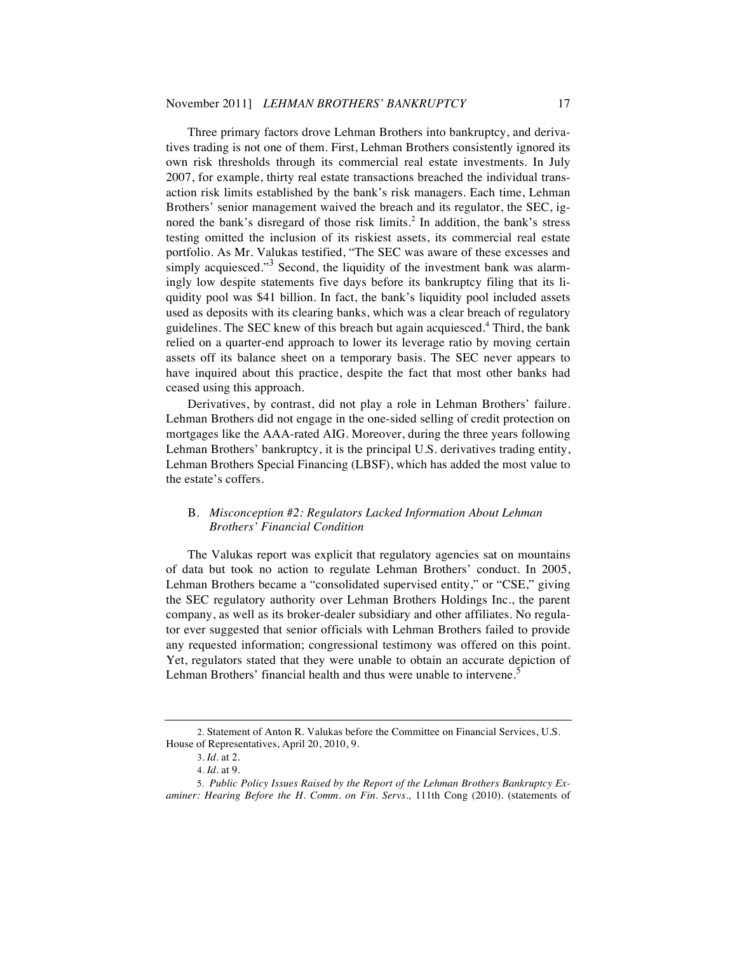Three primary factors drove Lehman Brothers into bankruptcy, and derivatives trading is not one of them. First, Lehman Brothers consistently ignored its own risk thresholds through its commercial real estate investments. In July 2007, for example, thirty real estate transactions breached the individual transaction risk limits established by the bank's risk managers. Each time, Lehman Brothers' senior management waived the breach and its regulator, the SEC, ignored the bank's disregard of those risk limits. <sup>2</sup> In addition, the bank's stress testing omitted the inclusion of its riskiest assets, its commercial real estate portfolio. As Mr. Valukas testified, "The SEC was aware of these excesses and simply acquiesced."<sup>3</sup> Second, the liquidity of the investment bank was alarmingly low despite statements five days before its bankruptcy filing that its liquidity pool was \$41 billion. In fact, the bank's liquidity pool included assets used as deposits with its clearing banks, which was a clear breach of regulatory guidelines. The SEC knew of this breach but again acquiesced. <sup>4</sup> Third, the bank relied on a quarter-end approach to lower its leverage ratio by moving certain assets off its balance sheet on a temporary basis. The SEC never appears to have inquired about this practice, despite the fact that most other banks had ceased using this approach.

Derivatives, by contrast, did not play a role in Lehman Brothers' failure. Lehman Brothers did not engage in the one-sided selling of credit protection on mortgages like the AAA-rated AIG. Moreover, during the three years following Lehman Brothers' bankruptcy, it is the principal U.S. derivatives trading entity, Lehman Brothers Special Financing (LBSF), which has added the most value to the estate's coffers.

#### B. *Misconception #2: Regulators Lacked Information About Lehman Brothers' Financial Condition*

The Valukas report was explicit that regulatory agencies sat on mountains of data but took no action to regulate Lehman Brothers' conduct. In 2005, Lehman Brothers became a "consolidated supervised entity," or "CSE," giving the SEC regulatory authority over Lehman Brothers Holdings Inc., the parent company, as well as its broker-dealer subsidiary and other affiliates. No regulator ever suggested that senior officials with Lehman Brothers failed to provide any requested information; congressional testimony was offered on this point. Yet, regulators stated that they were unable to obtain an accurate depiction of Lehman Brothers' financial health and thus were unable to intervene.<sup>5</sup>

 <sup>2.</sup> Statement of Anton R. Valukas before the Committee on Financial Services, U.S. House of Representatives, April 20, 2010, 9.

 <sup>3.</sup> *Id*. at 2.

 <sup>4.</sup> *Id*. at 9.

<sup>5.</sup> *Public Policy Issues Raised by the Report of the Lehman Brothers Bankruptcy Examiner: Hearing Before the H. Comm. on Fin. Servs.,* 111th Cong (2010). (statements of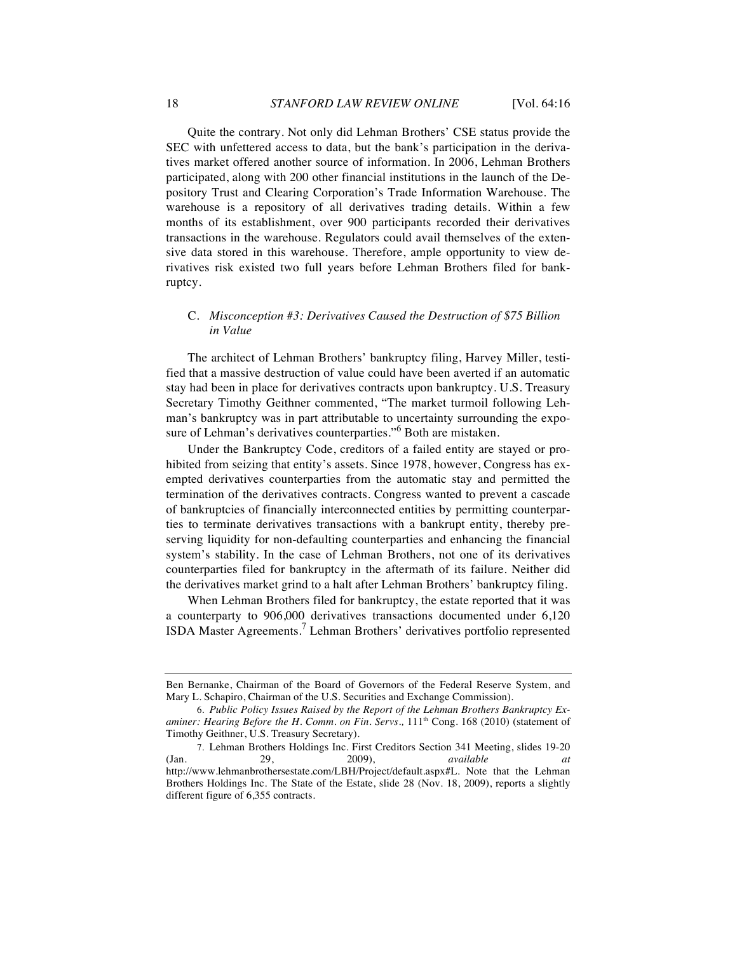Quite the contrary. Not only did Lehman Brothers' CSE status provide the SEC with unfettered access to data, but the bank's participation in the derivatives market offered another source of information. In 2006, Lehman Brothers participated, along with 200 other financial institutions in the launch of the Depository Trust and Clearing Corporation's Trade Information Warehouse. The warehouse is a repository of all derivatives trading details. Within a few months of its establishment, over 900 participants recorded their derivatives transactions in the warehouse. Regulators could avail themselves of the extensive data stored in this warehouse. Therefore, ample opportunity to view derivatives risk existed two full years before Lehman Brothers filed for bankruptcy.

## C. *Misconception #3: Derivatives Caused the Destruction of \$75 Billion in Value*

The architect of Lehman Brothers' bankruptcy filing, Harvey Miller, testified that a massive destruction of value could have been averted if an automatic stay had been in place for derivatives contracts upon bankruptcy. U.S. Treasury Secretary Timothy Geithner commented, "The market turmoil following Lehman's bankruptcy was in part attributable to uncertainty surrounding the exposure of Lehman's derivatives counterparties."<sup>6</sup> Both are mistaken.

Under the Bankruptcy Code, creditors of a failed entity are stayed or prohibited from seizing that entity's assets. Since 1978, however, Congress has exempted derivatives counterparties from the automatic stay and permitted the termination of the derivatives contracts. Congress wanted to prevent a cascade of bankruptcies of financially interconnected entities by permitting counterparties to terminate derivatives transactions with a bankrupt entity, thereby preserving liquidity for non-defaulting counterparties and enhancing the financial system's stability. In the case of Lehman Brothers, not one of its derivatives counterparties filed for bankruptcy in the aftermath of its failure. Neither did the derivatives market grind to a halt after Lehman Brothers' bankruptcy filing.

When Lehman Brothers filed for bankruptcy, the estate reported that it was a counterparty to 906,000 derivatives transactions documented under 6,120 ISDA Master Agreements.<sup>7</sup> Lehman Brothers' derivatives portfolio represented

Ben Bernanke, Chairman of the Board of Governors of the Federal Reserve System, and Mary L. Schapiro, Chairman of the U.S. Securities and Exchange Commission).

<sup>6.</sup> *Public Policy Issues Raised by the Report of the Lehman Brothers Bankruptcy Examiner: Hearing Before the H. Comm. on Fin. Servs.,*  $111<sup>th</sup>$  Cong. 168 (2010) (statement of Timothy Geithner, U.S. Treasury Secretary).

<sup>7.</sup> Lehman Brothers Holdings Inc. First Creditors Section 341 Meeting, slides 19-20 (Jan. 29, 2009), *available at* http://www.lehmanbrothersestate.com/LBH/Project/default.aspx#L. Note that the Lehman Brothers Holdings Inc. The State of the Estate, slide 28 (Nov. 18, 2009), reports a slightly different figure of 6,355 contracts.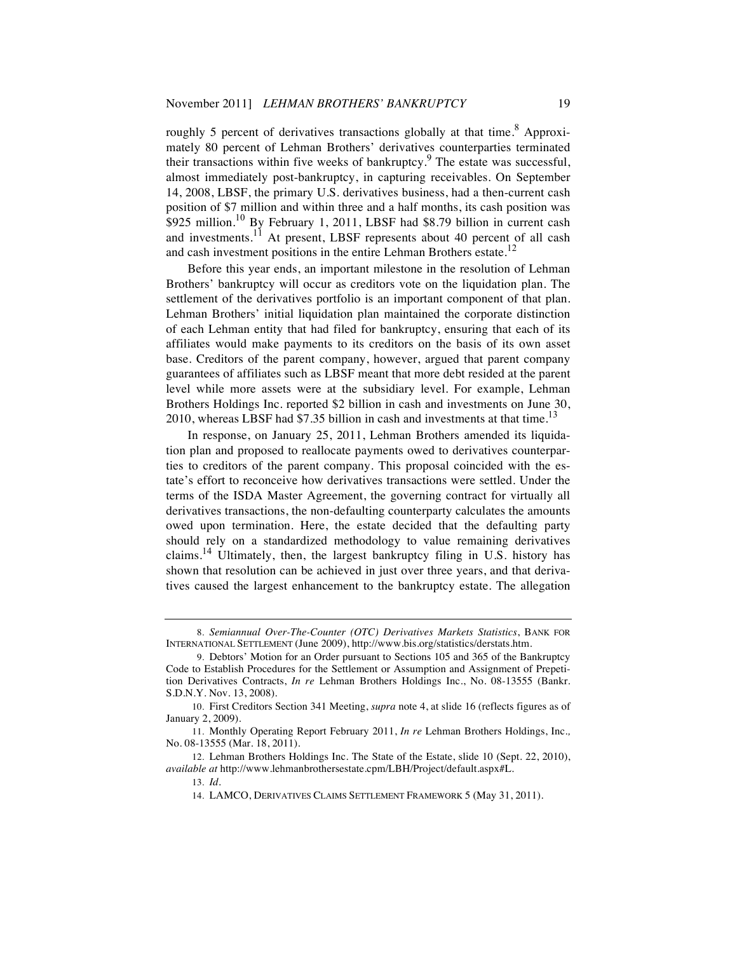roughly 5 percent of derivatives transactions globally at that time.<sup>8</sup> Approximately 80 percent of Lehman Brothers' derivatives counterparties terminated their transactions within five weeks of bankruptcy.<sup>9</sup> The estate was successful, almost immediately post-bankruptcy, in capturing receivables. On September 14, 2008, LBSF, the primary U.S. derivatives business, had a then-current cash position of \$7 million and within three and a half months, its cash position was \$925 million.<sup>10</sup> By February 1, 2011, LBSF had \$8.79 billion in current cash and investments.<sup>11</sup> At present, LBSF represents about 40 percent of all cash and cash investment positions in the entire Lehman Brothers estate.<sup>12</sup>

Before this year ends, an important milestone in the resolution of Lehman Brothers' bankruptcy will occur as creditors vote on the liquidation plan. The settlement of the derivatives portfolio is an important component of that plan. Lehman Brothers' initial liquidation plan maintained the corporate distinction of each Lehman entity that had filed for bankruptcy, ensuring that each of its affiliates would make payments to its creditors on the basis of its own asset base. Creditors of the parent company, however, argued that parent company guarantees of affiliates such as LBSF meant that more debt resided at the parent level while more assets were at the subsidiary level. For example, Lehman Brothers Holdings Inc. reported \$2 billion in cash and investments on June 30, 2010, whereas LBSF had  $$7.35$  billion in cash and investments at that time.<sup>13</sup>

In response, on January 25, 2011, Lehman Brothers amended its liquidation plan and proposed to reallocate payments owed to derivatives counterparties to creditors of the parent company. This proposal coincided with the estate's effort to reconceive how derivatives transactions were settled. Under the terms of the ISDA Master Agreement, the governing contract for virtually all derivatives transactions, the non-defaulting counterparty calculates the amounts owed upon termination. Here, the estate decided that the defaulting party should rely on a standardized methodology to value remaining derivatives claims.<sup>14</sup> Ultimately, then, the largest bankruptcy filing in U.S. history has shown that resolution can be achieved in just over three years, and that derivatives caused the largest enhancement to the bankruptcy estate. The allegation

<sup>8.</sup> *Semiannual Over-The-Counter (OTC) Derivatives Markets Statistics*, BANK FOR INTERNATIONAL SETTLEMENT (June 2009), http://www.bis.org/statistics/derstats.htm.

<sup>9.</sup> Debtors' Motion for an Order pursuant to Sections 105 and 365 of the Bankruptcy Code to Establish Procedures for the Settlement or Assumption and Assignment of Prepetition Derivatives Contracts, *In re* Lehman Brothers Holdings Inc., No. 08-13555 (Bankr. S.D.N.Y. Nov. 13, 2008).

<sup>10.</sup> First Creditors Section 341 Meeting, *supra* note 4, at slide 16 (reflects figures as of January 2, 2009).

<sup>11.</sup> Monthly Operating Report February 2011, *In re* Lehman Brothers Holdings, Inc.*,*  No. 08-13555 (Mar. 18, 2011).

<sup>12.</sup> Lehman Brothers Holdings Inc. The State of the Estate, slide 10 (Sept. 22, 2010), *available at* http://www.lehmanbrothersestate.cpm/LBH/Project/default.aspx#L.

<sup>13.</sup> *Id*.

<sup>14.</sup> LAMCO, DERIVATIVES CLAIMS SETTLEMENT FRAMEWORK 5 (May 31, 2011).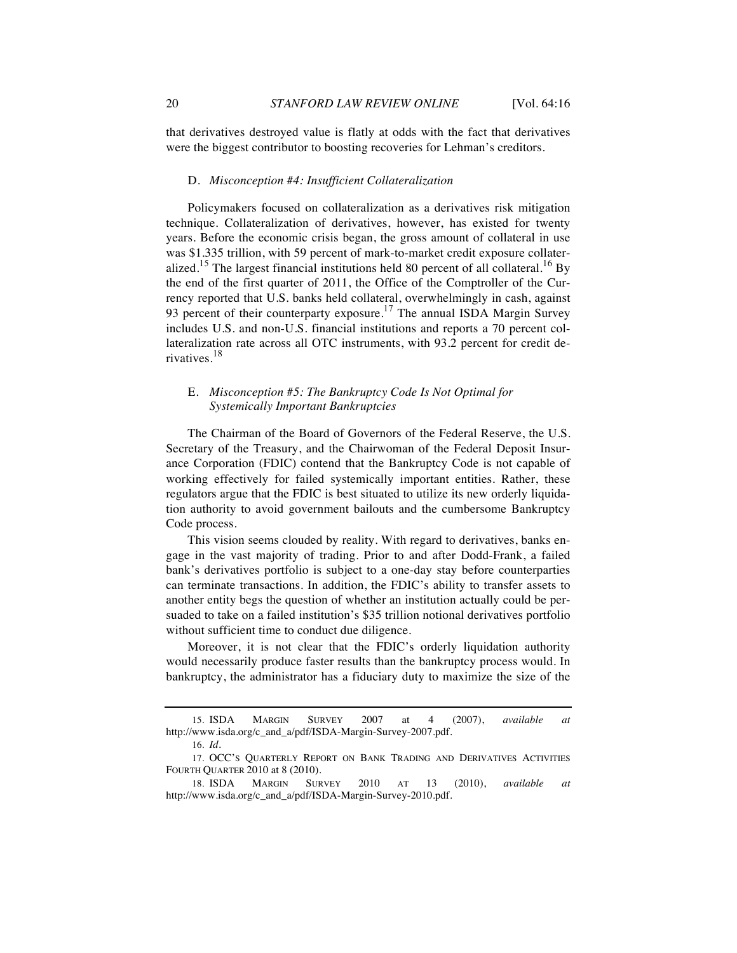that derivatives destroyed value is flatly at odds with the fact that derivatives were the biggest contributor to boosting recoveries for Lehman's creditors.

#### D. *Misconception #4: Insufficient Collateralization*

Policymakers focused on collateralization as a derivatives risk mitigation technique. Collateralization of derivatives, however, has existed for twenty years. Before the economic crisis began, the gross amount of collateral in use was \$1.335 trillion, with 59 percent of mark-to-market credit exposure collateralized.<sup>15</sup> The largest financial institutions held 80 percent of all collateral.<sup>16</sup> By the end of the first quarter of 2011, the Office of the Comptroller of the Currency reported that U.S. banks held collateral, overwhelmingly in cash, against 93 percent of their counterparty exposure.<sup>17</sup> The annual ISDA Margin Survey includes U.S. and non-U.S. financial institutions and reports a 70 percent collateralization rate across all OTC instruments, with 93.2 percent for credit derivatives.<sup>18</sup>

#### E. *Misconception #5: The Bankruptcy Code Is Not Optimal for Systemically Important Bankruptcies*

The Chairman of the Board of Governors of the Federal Reserve, the U.S. Secretary of the Treasury, and the Chairwoman of the Federal Deposit Insurance Corporation (FDIC) contend that the Bankruptcy Code is not capable of working effectively for failed systemically important entities. Rather, these regulators argue that the FDIC is best situated to utilize its new orderly liquidation authority to avoid government bailouts and the cumbersome Bankruptcy Code process.

This vision seems clouded by reality. With regard to derivatives, banks engage in the vast majority of trading. Prior to and after Dodd-Frank, a failed bank's derivatives portfolio is subject to a one-day stay before counterparties can terminate transactions. In addition, the FDIC's ability to transfer assets to another entity begs the question of whether an institution actually could be persuaded to take on a failed institution's \$35 trillion notional derivatives portfolio without sufficient time to conduct due diligence.

Moreover, it is not clear that the FDIC's orderly liquidation authority would necessarily produce faster results than the bankruptcy process would. In bankruptcy, the administrator has a fiduciary duty to maximize the size of the

<sup>15.</sup> ISDA MARGIN SURVEY 2007 at 4 (2007), *available at* http://www.isda.org/c\_and\_a/pdf/ISDA-Margin-Survey-2007.pdf.

<sup>16.</sup> *Id.*

<sup>17.</sup> OCC'S QUARTERLY REPORT ON BANK TRADING AND DERIVATIVES ACTIVITIES FOURTH QUARTER 2010 at 8 (2010).

<sup>18.</sup> ISDA MARGIN SURVEY 2010 AT 13 (2010), *available at* http://www.isda.org/c\_and\_a/pdf/ISDA-Margin-Survey-2010.pdf.